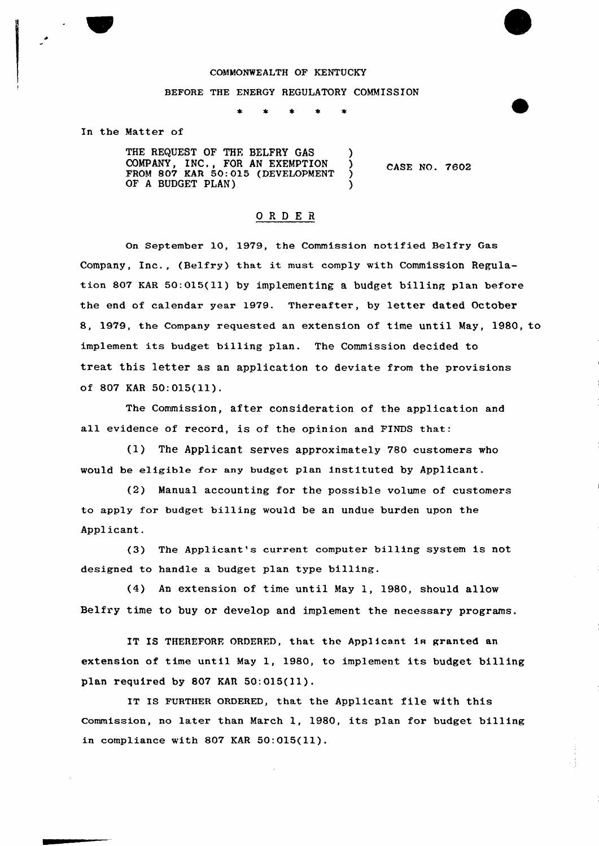## COMMONWEALTH OF KENTUCKY

## BEFORE THE ENERGY REGULATORY COMMISSION

## In the Matter of

THE REQUEST OF THE BELFRY GAS COMPANY, INC., FOR AN EXEMPTION ) FROM 807 KAR 50:015 (DEVELOPMENT) OF <sup>A</sup> BUDGET PLAN) )

CASE NO. 7602

## ORDER

On September 10, 1979, the Commission notified Belfry Gas Company, Inc., (Belfry) that it must comply with Commission Regulation 807 KAR 50:015(11) by implementing a budget billing plan before the end of calendar year 1979. Thereafter, by letter dated October 8, 1979, the Company requested an extension of time until May, 1980, to implement its budget billing plan. The Commission decided to treat this letter as an application to deviate from the provisions of 807 KAR 50:015(11).

The Commission, after consideration of the application and all evidence of record, is of the opinion and FINDS that:

(1) The Applicant serves approximately 780 customers who would be eligible for any budget plan instituted by Applicant.

(2) Manual accounting for the possible volume of customers to apply for budget billing would be an undue burden upon the Applicant.

(3) The Applicant's current computer billing system is not designed to handle a budget plan type billing.

(4) An extension of time until May 1, 1980, should allow Belfry time to buy or develop and implement the necessary programs.

IT IS THEREFORE ORDERED, that the Applicant is granted an extension of time until May 1, 1980, to implement its budget billing plan required by 807 KAR 50:015(11).

IT Is FURTHER oRDERED, that the Applicant file with this Commission, no later than March 1, 1980, its plan for budget billing in compliance with 807 KAR 50:015(ll).